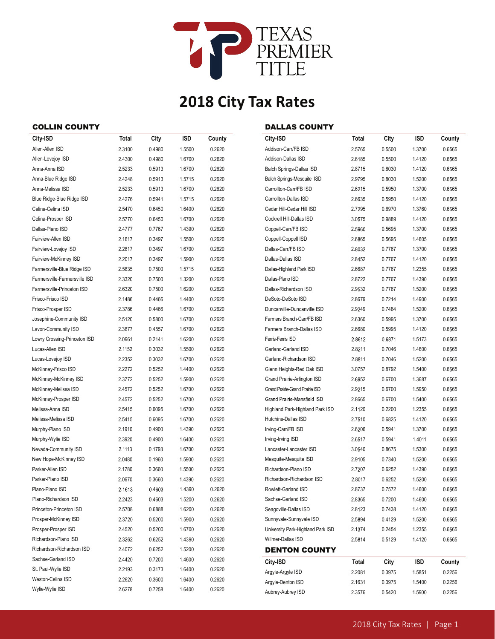

# **2018 City Tax Rates**

### COLLIN COUNTY

| Allen-Allen ISD<br>2.3100<br>0.4980<br>1.5500<br>0.2620<br>Allen-Lovejoy ISD<br>2.4300<br>0.4980<br>0.2620<br>1.6700<br>Anna-Anna ISD<br>2.5233<br>0.5913<br>0.2620<br>1.6700<br>Anna-Blue Ridge ISD<br>2.4248<br>0.5913<br>0.2620<br>1.5715<br>Anna-Melissa ISD<br>2.5233<br>0.2620<br>0.5913<br>1.6700<br>Blue Ridge-Blue Ridge ISD<br>2.4276<br>0.2620<br>0.5941<br>1.5715<br>Celina-Celina ISD<br>2.5470<br>0.2620<br>0.6450<br>1.6400<br>Celina-Prosper ISD<br>2.5770<br>0.6450<br>1.6700<br>0.2620<br>Dallas-Plano ISD<br>2.4777<br>0.7767<br>1.4390<br>0.2620<br>Fairview-Allen ISD<br>2.1617<br>0.3497<br>1.5500<br>0.2620<br>Fairview-Lovejoy ISD<br>0.2620<br>2.2817<br>0.3497<br>1.6700<br>Fairview-McKinney ISD<br>2.2017<br>0.3497<br>1.5900<br>0.2620<br>Farmersville-Blue Ridge ISD<br>0.2620<br>2.5835<br>0.7500<br>1.5715<br>Farmersville-Farmersville ISD<br>2.3320<br>1.3200<br>0.2620<br>0.7500<br>Farmersville-Princeton ISD<br>2.6320<br>1.6200<br>0.2620<br>0.7500<br>Frisco-Frisco ISD<br>2.1486<br>0.2620<br>0.4466<br>1.4400<br>Frisco-Prosper ISD<br>2.3786<br>0.2620<br>0.4466<br>1.6700<br>Josephine-Community ISD<br>2.5120<br>0.5800<br>1.6700<br>0.2620<br>Lavon-Community ISD<br>2.3877<br>0.4557<br>1.6700<br>0.2620<br>Lowry Crossing-Princeton ISD<br>2.0961<br>0.2141<br>0.2620<br>1.6200<br>Lucas-Allen ISD<br>0.2620<br>2.1152<br>0.3032<br>1.5500<br>Lucas-Lovejoy ISD<br>2.2352<br>0.3032<br>0.2620<br>1.6700<br>McKinney-Frisco ISD<br>2.2272<br>0.5252<br>0.2620<br>1.4400<br>McKinney-McKinney ISD<br>0.2620<br>2.3772<br>0.5252<br>1.5900<br>McKinney-Melissa ISD<br>0.5252<br>1.6700<br>0.2620<br>2.4572<br>McKinney-Prosper ISD<br>2.4572<br>0.5252<br>1.6700<br>0.2620<br>Melissa-Anna ISD<br>0.6095<br>0.2620<br>2.5415<br>1.6700<br>Melissa-Melissa ISD<br>0.2620<br>2.5415<br>0.6095<br>1.6700<br>Murphy-Plano ISD<br>2.1910<br>0.4900<br>1.4390<br>0.2620<br>Murphy-Wylie ISD<br>2.3920<br>0.4900<br>0.2620<br>1.6400<br>Nevada-Community ISD<br>2.1113<br>0.1793<br>0.2620<br>1.6700<br>New Hope-McKinney ISD<br>0.2620<br>2.0480<br>0.1960<br>1.5900<br>Parker-Allen ISD<br>2.1780<br>0.3660<br>0.2620<br>1.5500<br>Parker-Plano ISD<br>2.0670<br>0.3660<br>1.4390<br>0.2620<br>Plano-Plano ISD<br>2.1613<br>0.4603<br>1.4390<br>0.2620<br>Plano-Richardson ISD<br>0.4603<br>2.2423<br>1.5200<br>0.2620<br>Princeton-Princeton ISD<br>2.5708<br>0.6888<br>1.6200<br>0.2620 | City-ISD             | Total  | City   | ISD    | County |
|----------------------------------------------------------------------------------------------------------------------------------------------------------------------------------------------------------------------------------------------------------------------------------------------------------------------------------------------------------------------------------------------------------------------------------------------------------------------------------------------------------------------------------------------------------------------------------------------------------------------------------------------------------------------------------------------------------------------------------------------------------------------------------------------------------------------------------------------------------------------------------------------------------------------------------------------------------------------------------------------------------------------------------------------------------------------------------------------------------------------------------------------------------------------------------------------------------------------------------------------------------------------------------------------------------------------------------------------------------------------------------------------------------------------------------------------------------------------------------------------------------------------------------------------------------------------------------------------------------------------------------------------------------------------------------------------------------------------------------------------------------------------------------------------------------------------------------------------------------------------------------------------------------------------------------------------------------------------------------------------------------------------------------------------------------------------------------------------------------------------------------------------------------------------------------------------------------------------------------------------------------------------------------------------------------------------------------------------------------------------------------------------------------------------------------|----------------------|--------|--------|--------|--------|
|                                                                                                                                                                                                                                                                                                                                                                                                                                                                                                                                                                                                                                                                                                                                                                                                                                                                                                                                                                                                                                                                                                                                                                                                                                                                                                                                                                                                                                                                                                                                                                                                                                                                                                                                                                                                                                                                                                                                                                                                                                                                                                                                                                                                                                                                                                                                                                                                                                  |                      |        |        |        |        |
|                                                                                                                                                                                                                                                                                                                                                                                                                                                                                                                                                                                                                                                                                                                                                                                                                                                                                                                                                                                                                                                                                                                                                                                                                                                                                                                                                                                                                                                                                                                                                                                                                                                                                                                                                                                                                                                                                                                                                                                                                                                                                                                                                                                                                                                                                                                                                                                                                                  |                      |        |        |        |        |
|                                                                                                                                                                                                                                                                                                                                                                                                                                                                                                                                                                                                                                                                                                                                                                                                                                                                                                                                                                                                                                                                                                                                                                                                                                                                                                                                                                                                                                                                                                                                                                                                                                                                                                                                                                                                                                                                                                                                                                                                                                                                                                                                                                                                                                                                                                                                                                                                                                  |                      |        |        |        |        |
|                                                                                                                                                                                                                                                                                                                                                                                                                                                                                                                                                                                                                                                                                                                                                                                                                                                                                                                                                                                                                                                                                                                                                                                                                                                                                                                                                                                                                                                                                                                                                                                                                                                                                                                                                                                                                                                                                                                                                                                                                                                                                                                                                                                                                                                                                                                                                                                                                                  |                      |        |        |        |        |
|                                                                                                                                                                                                                                                                                                                                                                                                                                                                                                                                                                                                                                                                                                                                                                                                                                                                                                                                                                                                                                                                                                                                                                                                                                                                                                                                                                                                                                                                                                                                                                                                                                                                                                                                                                                                                                                                                                                                                                                                                                                                                                                                                                                                                                                                                                                                                                                                                                  |                      |        |        |        |        |
|                                                                                                                                                                                                                                                                                                                                                                                                                                                                                                                                                                                                                                                                                                                                                                                                                                                                                                                                                                                                                                                                                                                                                                                                                                                                                                                                                                                                                                                                                                                                                                                                                                                                                                                                                                                                                                                                                                                                                                                                                                                                                                                                                                                                                                                                                                                                                                                                                                  |                      |        |        |        |        |
|                                                                                                                                                                                                                                                                                                                                                                                                                                                                                                                                                                                                                                                                                                                                                                                                                                                                                                                                                                                                                                                                                                                                                                                                                                                                                                                                                                                                                                                                                                                                                                                                                                                                                                                                                                                                                                                                                                                                                                                                                                                                                                                                                                                                                                                                                                                                                                                                                                  |                      |        |        |        |        |
|                                                                                                                                                                                                                                                                                                                                                                                                                                                                                                                                                                                                                                                                                                                                                                                                                                                                                                                                                                                                                                                                                                                                                                                                                                                                                                                                                                                                                                                                                                                                                                                                                                                                                                                                                                                                                                                                                                                                                                                                                                                                                                                                                                                                                                                                                                                                                                                                                                  |                      |        |        |        |        |
|                                                                                                                                                                                                                                                                                                                                                                                                                                                                                                                                                                                                                                                                                                                                                                                                                                                                                                                                                                                                                                                                                                                                                                                                                                                                                                                                                                                                                                                                                                                                                                                                                                                                                                                                                                                                                                                                                                                                                                                                                                                                                                                                                                                                                                                                                                                                                                                                                                  |                      |        |        |        |        |
|                                                                                                                                                                                                                                                                                                                                                                                                                                                                                                                                                                                                                                                                                                                                                                                                                                                                                                                                                                                                                                                                                                                                                                                                                                                                                                                                                                                                                                                                                                                                                                                                                                                                                                                                                                                                                                                                                                                                                                                                                                                                                                                                                                                                                                                                                                                                                                                                                                  |                      |        |        |        |        |
|                                                                                                                                                                                                                                                                                                                                                                                                                                                                                                                                                                                                                                                                                                                                                                                                                                                                                                                                                                                                                                                                                                                                                                                                                                                                                                                                                                                                                                                                                                                                                                                                                                                                                                                                                                                                                                                                                                                                                                                                                                                                                                                                                                                                                                                                                                                                                                                                                                  |                      |        |        |        |        |
|                                                                                                                                                                                                                                                                                                                                                                                                                                                                                                                                                                                                                                                                                                                                                                                                                                                                                                                                                                                                                                                                                                                                                                                                                                                                                                                                                                                                                                                                                                                                                                                                                                                                                                                                                                                                                                                                                                                                                                                                                                                                                                                                                                                                                                                                                                                                                                                                                                  |                      |        |        |        |        |
|                                                                                                                                                                                                                                                                                                                                                                                                                                                                                                                                                                                                                                                                                                                                                                                                                                                                                                                                                                                                                                                                                                                                                                                                                                                                                                                                                                                                                                                                                                                                                                                                                                                                                                                                                                                                                                                                                                                                                                                                                                                                                                                                                                                                                                                                                                                                                                                                                                  |                      |        |        |        |        |
|                                                                                                                                                                                                                                                                                                                                                                                                                                                                                                                                                                                                                                                                                                                                                                                                                                                                                                                                                                                                                                                                                                                                                                                                                                                                                                                                                                                                                                                                                                                                                                                                                                                                                                                                                                                                                                                                                                                                                                                                                                                                                                                                                                                                                                                                                                                                                                                                                                  |                      |        |        |        |        |
|                                                                                                                                                                                                                                                                                                                                                                                                                                                                                                                                                                                                                                                                                                                                                                                                                                                                                                                                                                                                                                                                                                                                                                                                                                                                                                                                                                                                                                                                                                                                                                                                                                                                                                                                                                                                                                                                                                                                                                                                                                                                                                                                                                                                                                                                                                                                                                                                                                  |                      |        |        |        |        |
|                                                                                                                                                                                                                                                                                                                                                                                                                                                                                                                                                                                                                                                                                                                                                                                                                                                                                                                                                                                                                                                                                                                                                                                                                                                                                                                                                                                                                                                                                                                                                                                                                                                                                                                                                                                                                                                                                                                                                                                                                                                                                                                                                                                                                                                                                                                                                                                                                                  |                      |        |        |        |        |
|                                                                                                                                                                                                                                                                                                                                                                                                                                                                                                                                                                                                                                                                                                                                                                                                                                                                                                                                                                                                                                                                                                                                                                                                                                                                                                                                                                                                                                                                                                                                                                                                                                                                                                                                                                                                                                                                                                                                                                                                                                                                                                                                                                                                                                                                                                                                                                                                                                  |                      |        |        |        |        |
|                                                                                                                                                                                                                                                                                                                                                                                                                                                                                                                                                                                                                                                                                                                                                                                                                                                                                                                                                                                                                                                                                                                                                                                                                                                                                                                                                                                                                                                                                                                                                                                                                                                                                                                                                                                                                                                                                                                                                                                                                                                                                                                                                                                                                                                                                                                                                                                                                                  |                      |        |        |        |        |
|                                                                                                                                                                                                                                                                                                                                                                                                                                                                                                                                                                                                                                                                                                                                                                                                                                                                                                                                                                                                                                                                                                                                                                                                                                                                                                                                                                                                                                                                                                                                                                                                                                                                                                                                                                                                                                                                                                                                                                                                                                                                                                                                                                                                                                                                                                                                                                                                                                  |                      |        |        |        |        |
|                                                                                                                                                                                                                                                                                                                                                                                                                                                                                                                                                                                                                                                                                                                                                                                                                                                                                                                                                                                                                                                                                                                                                                                                                                                                                                                                                                                                                                                                                                                                                                                                                                                                                                                                                                                                                                                                                                                                                                                                                                                                                                                                                                                                                                                                                                                                                                                                                                  |                      |        |        |        |        |
|                                                                                                                                                                                                                                                                                                                                                                                                                                                                                                                                                                                                                                                                                                                                                                                                                                                                                                                                                                                                                                                                                                                                                                                                                                                                                                                                                                                                                                                                                                                                                                                                                                                                                                                                                                                                                                                                                                                                                                                                                                                                                                                                                                                                                                                                                                                                                                                                                                  |                      |        |        |        |        |
|                                                                                                                                                                                                                                                                                                                                                                                                                                                                                                                                                                                                                                                                                                                                                                                                                                                                                                                                                                                                                                                                                                                                                                                                                                                                                                                                                                                                                                                                                                                                                                                                                                                                                                                                                                                                                                                                                                                                                                                                                                                                                                                                                                                                                                                                                                                                                                                                                                  |                      |        |        |        |        |
|                                                                                                                                                                                                                                                                                                                                                                                                                                                                                                                                                                                                                                                                                                                                                                                                                                                                                                                                                                                                                                                                                                                                                                                                                                                                                                                                                                                                                                                                                                                                                                                                                                                                                                                                                                                                                                                                                                                                                                                                                                                                                                                                                                                                                                                                                                                                                                                                                                  |                      |        |        |        |        |
|                                                                                                                                                                                                                                                                                                                                                                                                                                                                                                                                                                                                                                                                                                                                                                                                                                                                                                                                                                                                                                                                                                                                                                                                                                                                                                                                                                                                                                                                                                                                                                                                                                                                                                                                                                                                                                                                                                                                                                                                                                                                                                                                                                                                                                                                                                                                                                                                                                  |                      |        |        |        |        |
|                                                                                                                                                                                                                                                                                                                                                                                                                                                                                                                                                                                                                                                                                                                                                                                                                                                                                                                                                                                                                                                                                                                                                                                                                                                                                                                                                                                                                                                                                                                                                                                                                                                                                                                                                                                                                                                                                                                                                                                                                                                                                                                                                                                                                                                                                                                                                                                                                                  |                      |        |        |        |        |
|                                                                                                                                                                                                                                                                                                                                                                                                                                                                                                                                                                                                                                                                                                                                                                                                                                                                                                                                                                                                                                                                                                                                                                                                                                                                                                                                                                                                                                                                                                                                                                                                                                                                                                                                                                                                                                                                                                                                                                                                                                                                                                                                                                                                                                                                                                                                                                                                                                  |                      |        |        |        |        |
|                                                                                                                                                                                                                                                                                                                                                                                                                                                                                                                                                                                                                                                                                                                                                                                                                                                                                                                                                                                                                                                                                                                                                                                                                                                                                                                                                                                                                                                                                                                                                                                                                                                                                                                                                                                                                                                                                                                                                                                                                                                                                                                                                                                                                                                                                                                                                                                                                                  |                      |        |        |        |        |
|                                                                                                                                                                                                                                                                                                                                                                                                                                                                                                                                                                                                                                                                                                                                                                                                                                                                                                                                                                                                                                                                                                                                                                                                                                                                                                                                                                                                                                                                                                                                                                                                                                                                                                                                                                                                                                                                                                                                                                                                                                                                                                                                                                                                                                                                                                                                                                                                                                  |                      |        |        |        |        |
|                                                                                                                                                                                                                                                                                                                                                                                                                                                                                                                                                                                                                                                                                                                                                                                                                                                                                                                                                                                                                                                                                                                                                                                                                                                                                                                                                                                                                                                                                                                                                                                                                                                                                                                                                                                                                                                                                                                                                                                                                                                                                                                                                                                                                                                                                                                                                                                                                                  |                      |        |        |        |        |
|                                                                                                                                                                                                                                                                                                                                                                                                                                                                                                                                                                                                                                                                                                                                                                                                                                                                                                                                                                                                                                                                                                                                                                                                                                                                                                                                                                                                                                                                                                                                                                                                                                                                                                                                                                                                                                                                                                                                                                                                                                                                                                                                                                                                                                                                                                                                                                                                                                  |                      |        |        |        |        |
|                                                                                                                                                                                                                                                                                                                                                                                                                                                                                                                                                                                                                                                                                                                                                                                                                                                                                                                                                                                                                                                                                                                                                                                                                                                                                                                                                                                                                                                                                                                                                                                                                                                                                                                                                                                                                                                                                                                                                                                                                                                                                                                                                                                                                                                                                                                                                                                                                                  |                      |        |        |        |        |
|                                                                                                                                                                                                                                                                                                                                                                                                                                                                                                                                                                                                                                                                                                                                                                                                                                                                                                                                                                                                                                                                                                                                                                                                                                                                                                                                                                                                                                                                                                                                                                                                                                                                                                                                                                                                                                                                                                                                                                                                                                                                                                                                                                                                                                                                                                                                                                                                                                  |                      |        |        |        |        |
|                                                                                                                                                                                                                                                                                                                                                                                                                                                                                                                                                                                                                                                                                                                                                                                                                                                                                                                                                                                                                                                                                                                                                                                                                                                                                                                                                                                                                                                                                                                                                                                                                                                                                                                                                                                                                                                                                                                                                                                                                                                                                                                                                                                                                                                                                                                                                                                                                                  |                      |        |        |        |        |
|                                                                                                                                                                                                                                                                                                                                                                                                                                                                                                                                                                                                                                                                                                                                                                                                                                                                                                                                                                                                                                                                                                                                                                                                                                                                                                                                                                                                                                                                                                                                                                                                                                                                                                                                                                                                                                                                                                                                                                                                                                                                                                                                                                                                                                                                                                                                                                                                                                  |                      |        |        |        |        |
|                                                                                                                                                                                                                                                                                                                                                                                                                                                                                                                                                                                                                                                                                                                                                                                                                                                                                                                                                                                                                                                                                                                                                                                                                                                                                                                                                                                                                                                                                                                                                                                                                                                                                                                                                                                                                                                                                                                                                                                                                                                                                                                                                                                                                                                                                                                                                                                                                                  |                      |        |        |        |        |
|                                                                                                                                                                                                                                                                                                                                                                                                                                                                                                                                                                                                                                                                                                                                                                                                                                                                                                                                                                                                                                                                                                                                                                                                                                                                                                                                                                                                                                                                                                                                                                                                                                                                                                                                                                                                                                                                                                                                                                                                                                                                                                                                                                                                                                                                                                                                                                                                                                  |                      |        |        |        |        |
|                                                                                                                                                                                                                                                                                                                                                                                                                                                                                                                                                                                                                                                                                                                                                                                                                                                                                                                                                                                                                                                                                                                                                                                                                                                                                                                                                                                                                                                                                                                                                                                                                                                                                                                                                                                                                                                                                                                                                                                                                                                                                                                                                                                                                                                                                                                                                                                                                                  |                      |        |        |        |        |
|                                                                                                                                                                                                                                                                                                                                                                                                                                                                                                                                                                                                                                                                                                                                                                                                                                                                                                                                                                                                                                                                                                                                                                                                                                                                                                                                                                                                                                                                                                                                                                                                                                                                                                                                                                                                                                                                                                                                                                                                                                                                                                                                                                                                                                                                                                                                                                                                                                  | Prosper-McKinney ISD | 2.3720 | 0.5200 | 1.5900 | 0.2620 |
| Prosper-Prosper ISD<br>1.6700<br>0.2620<br>2.4520<br>0.5200                                                                                                                                                                                                                                                                                                                                                                                                                                                                                                                                                                                                                                                                                                                                                                                                                                                                                                                                                                                                                                                                                                                                                                                                                                                                                                                                                                                                                                                                                                                                                                                                                                                                                                                                                                                                                                                                                                                                                                                                                                                                                                                                                                                                                                                                                                                                                                      |                      |        |        |        |        |
| Richardson-Plano ISD<br>2.3262<br>0.6252<br>1.4390<br>0.2620                                                                                                                                                                                                                                                                                                                                                                                                                                                                                                                                                                                                                                                                                                                                                                                                                                                                                                                                                                                                                                                                                                                                                                                                                                                                                                                                                                                                                                                                                                                                                                                                                                                                                                                                                                                                                                                                                                                                                                                                                                                                                                                                                                                                                                                                                                                                                                     |                      |        |        |        |        |
| Richardson-Richardson ISD<br>2.4072<br>0.6252<br>1.5200<br>0.2620                                                                                                                                                                                                                                                                                                                                                                                                                                                                                                                                                                                                                                                                                                                                                                                                                                                                                                                                                                                                                                                                                                                                                                                                                                                                                                                                                                                                                                                                                                                                                                                                                                                                                                                                                                                                                                                                                                                                                                                                                                                                                                                                                                                                                                                                                                                                                                |                      |        |        |        |        |
| Sachse-Garland ISD<br>2.4420<br>0.7200<br>1.4600<br>0.2620                                                                                                                                                                                                                                                                                                                                                                                                                                                                                                                                                                                                                                                                                                                                                                                                                                                                                                                                                                                                                                                                                                                                                                                                                                                                                                                                                                                                                                                                                                                                                                                                                                                                                                                                                                                                                                                                                                                                                                                                                                                                                                                                                                                                                                                                                                                                                                       |                      |        |        |        |        |
| St. Paul-Wylie ISD<br>2.2193<br>1.6400<br>0.2620<br>0.3173                                                                                                                                                                                                                                                                                                                                                                                                                                                                                                                                                                                                                                                                                                                                                                                                                                                                                                                                                                                                                                                                                                                                                                                                                                                                                                                                                                                                                                                                                                                                                                                                                                                                                                                                                                                                                                                                                                                                                                                                                                                                                                                                                                                                                                                                                                                                                                       |                      |        |        |        |        |
| Weston-Celina ISD<br>2.2620<br>0.3600<br>1.6400<br>0.2620                                                                                                                                                                                                                                                                                                                                                                                                                                                                                                                                                                                                                                                                                                                                                                                                                                                                                                                                                                                                                                                                                                                                                                                                                                                                                                                                                                                                                                                                                                                                                                                                                                                                                                                                                                                                                                                                                                                                                                                                                                                                                                                                                                                                                                                                                                                                                                        |                      |        |        |        |        |
| Wylie-Wylie ISD<br>2.6278<br>1.6400<br>0.2620<br>0.7258                                                                                                                                                                                                                                                                                                                                                                                                                                                                                                                                                                                                                                                                                                                                                                                                                                                                                                                                                                                                                                                                                                                                                                                                                                                                                                                                                                                                                                                                                                                                                                                                                                                                                                                                                                                                                                                                                                                                                                                                                                                                                                                                                                                                                                                                                                                                                                          |                      |        |        |        |        |

## DALLAS COUNTY

| City-ISD                          | Total  | City   | ISD    | County |
|-----------------------------------|--------|--------|--------|--------|
| Addison-Carr/FB ISD               | 2.5765 | 0.5500 | 1.3700 | 0.6565 |
| Addison-Dallas ISD                | 2.6185 | 0.5500 | 1.4120 | 0.6565 |
| Balch Springs-Dallas ISD          | 2.8715 | 0.8030 | 1.4120 | 0.6565 |
| Balch Springs-Mesquite ISD        | 2.9795 | 0.8030 | 1.5200 | 0.6565 |
| Carrollton-Carr/FB ISD            | 2.6215 | 0.5950 | 1.3700 | 0.6565 |
| Carrollton-Dallas ISD             | 2.6635 | 0.5950 | 1.4120 | 0.6565 |
| Cedar Hill-Cedar Hill ISD         | 2.7295 | 0.6970 | 1.3760 | 0.6565 |
| Cockrell Hill-Dallas ISD          | 3.0575 | 0.9889 | 1.4120 | 0.6565 |
| Coppell-Carr/FB ISD               | 2.5960 | 0.5695 | 1.3700 | 0.6565 |
| Coppell-Coppell ISD               | 2.6865 | 0.5695 | 1.4605 | 0.6565 |
| Dallas-Carr/FB ISD                | 2.8032 | 0.7767 | 1.3700 | 0.6565 |
| Dallas-Dallas ISD                 | 2.8452 | 0.7767 | 1.4120 | 0.6565 |
| Dallas-Highland Park ISD          | 2.6687 | 0.7767 | 1.2355 | 0.6565 |
| Dallas-Plano ISD                  | 2.8722 | 0.7767 | 1.4390 | 0.6565 |
| Dallas-Richardson ISD             | 2.9532 | 0.7767 | 1.5200 | 0.6565 |
| DeSoto-DeSoto ISD                 | 2.8679 | 0.7214 | 1.4900 | 0.6565 |
| Duncanville-Duncanville ISD       | 2.9249 | 0.7484 | 1.5200 | 0.6565 |
| Farmers Branch-Carr/FB ISD        | 2.6360 | 0.5995 | 1.3700 | 0.6565 |
| Farmers Branch-Dallas ISD         | 2.6680 | 0.5995 | 1.4120 | 0.6565 |
| Ferris-Ferris ISD                 | 2.8612 | 0.6871 | 1.5173 | 0.6565 |
| Garland-Garland ISD               | 2.8211 | 0.7046 | 1.4600 | 0.6565 |
| Garland-Richardson ISD            | 2.8811 | 0.7046 | 1.5200 | 0.6565 |
| Glenn Heights-Red Oak ISD         | 3.0757 | 0.8792 | 1.5400 | 0.6565 |
| Grand Prairie-Arlington ISD       | 2.6952 | 0.6700 | 1.3687 | 0.6565 |
| Grand Prairie-Grand Prairie ISD   | 2.9215 | 0.6700 | 1.5950 | 0.6565 |
| Grand Prairie-Mansfield ISD       | 2.8665 | 0.6700 | 1.5400 | 0.6565 |
| Highland Park-Highland Park ISD   | 2.1120 | 0.2200 | 1.2355 | 0.6565 |
| Hutchins-Dallas ISD               | 2.7510 | 0.6825 | 1.4120 | 0.6565 |
| Irving-Carr/FB ISD                | 2.6206 | 0.5941 | 1.3700 | 0.6565 |
| Irving-Irving ISD                 | 2.6517 | 0.5941 | 1.4011 | 0.6565 |
| Lancaster-Lancaster ISD           | 3.0540 | 0.8675 | 1.5300 | 0.6565 |
| Mesquite-Mesquite ISD             | 2.9105 | 0.7340 | 1.5200 | 0.6565 |
| Richardson-Plano ISD              | 2.7207 | 0.6252 | 1.4390 | 0.6565 |
| Richardson-Richardson ISD         | 2.8017 | 0.6252 | 1.5200 | 0.6565 |
| Rowlett-Garland ISD               | 2.8737 | 0.7572 | 1.4600 | 0.6565 |
| Sachse-Garland ISD                | 2.8365 | 0.7200 | 1.4600 | 0.6565 |
| Seagoville-Dallas ISD             | 2.8123 | 0.7438 | 1.4120 | 0.6565 |
| Sunnyvale-Sunnyvale ISD           | 2.5894 | 0.4129 | 1.5200 | 0.6565 |
| University Park-Highland Park ISD | 2.1374 | 0.2454 | 1.2355 | 0.6565 |
| Wilmer-Dallas ISD                 | 2.5814 | 0.5129 | 1.4120 | 0.6565 |
| <b>DENTON COUNTY</b>              |        |        |        |        |
| City-ISD                          | Total  | City   | ISD    | County |
| Argyle-Argyle ISD                 | 2.2081 | 0.3975 | 1.5851 | 0.2256 |
| Argyle-Denton ISD                 | 2.1631 | 0.3975 | 1.5400 | 0.2256 |
| Aubrey-Aubrey ISD                 | 2.3576 | 0.5420 | 1.5900 | 0.2256 |
|                                   |        |        |        |        |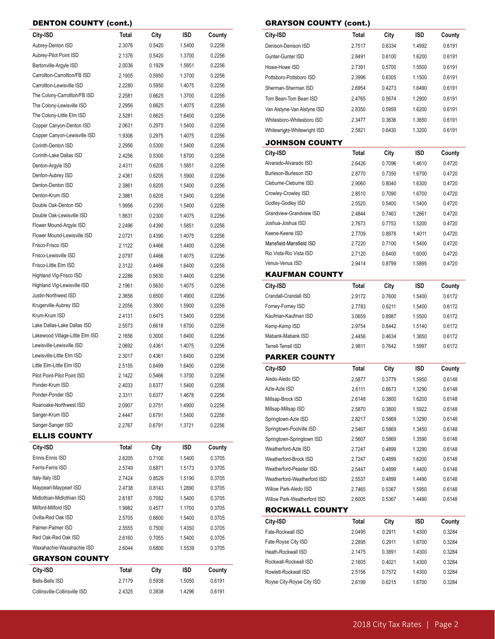# DENTON COUNTY (cont.)

| City-ISD                        | Total        | City   | ISD    | County |
|---------------------------------|--------------|--------|--------|--------|
| Aubrey-Denton ISD               | 2.3076       | 0.5420 | 1.5400 | 0.2256 |
| Aubrey-Pilot Point ISD          | 2.1376       | 0.5420 | 1.3700 | 0.2256 |
| Bartonville-Argyle ISD          | 2.0036       | 0.1929 | 1.5851 | 0.2256 |
| Carrollton-Carrollton/FB ISD    | 2.1905       | 0.5950 | 1.3700 | 0.2256 |
| Carrollton-Lewisville ISD       | 2.2280       | 0.5950 | 1.4075 | 0.2256 |
| The Colony-Carrollton/FB ISD    | 2.2581       | 0.6625 | 1.3700 | 0.2256 |
| The Colony-Lewisville ISD       | 2.2956       | 0.6625 | 1.4075 | 0.2256 |
| The Colony-Little Elm ISD       | 2.5281       | 0.6625 | 1.6400 | 0.2256 |
| Copper Canyon-Denton ISD        | 2.0631       | 0.2975 | 1.5400 | 0.2256 |
| Copper Canyon-Lewisville ISD    | 1.9306       | 0.2975 | 1.4075 | 0.2256 |
| Corinth-Denton ISD              | 2.2956       | 0.5300 | 1.5400 | 0.2256 |
| Corinth-Lake Dallas ISD         | 2.4256       | 0.5300 | 1.6700 | 0.2256 |
| Denton-Argyle ISD               | 2.4311       | 0.6205 | 1.5851 | 0.2256 |
| Denton-Aubrey ISD               | 2.4361       | 0.6205 | 1.5900 | 0.2256 |
| Denton-Denton ISD               | 2.3861       | 0.6205 | 1.5400 | 0.2256 |
| Denton-Krum ISD                 | 2.3861       | 0.6205 | 1.5400 | 0.2256 |
| Double Oak-Denton ISD           | 1.9956       | 0.2300 | 1.5400 | 0.2256 |
| Double Oak-Lewisville ISD       | 1.8631       | 0.2300 | 1.4075 | 0.2256 |
| Flower Mound-Argyle ISD         | 2.2496       | 0.4390 | 1.5851 | 0.2256 |
| Flower Mound-Lewisville ISD     | 2.0721       | 0.4390 | 1.4075 | 0.2256 |
| Frisco-Frisco ISD               | 2.1122       | 0.4466 | 1.4400 | 0.2256 |
| Frisco-Lewisville ISD           | 2.0797       | 0.4466 | 1.4075 | 0.2256 |
| Frisco-Little Elm ISD           | 2.3122       | 0.4466 | 1.6400 | 0.2256 |
| Highland Vlg-Frisco ISD         | 2.2286       | 0.5630 | 1.4400 | 0.2256 |
| Highland Vlg-Lewisville ISD     | 2.1961       | 0.5630 | 1.4075 | 0.2256 |
| Justin-Northwest ISD            | 2.3656       | 0.6500 | 1.4900 | 0.2256 |
| Krugerville-Aubrey ISD          | 2.2056       | 0.3900 | 1.5900 | 0.2256 |
| Krum-Krum ISD                   | 2.4131       | 0.6475 | 1.5400 | 0.2256 |
| Lake Dallas-Lake Dallas ISD     | 2.5573       | 0.6618 | 1.6700 | 0.2256 |
| Lakewood Village-Little Elm ISD | 2.1656       | 0.3000 | 1.6400 | 0.2256 |
| Lewisville-Lewisville ISD       | 2.0692       | 0.4361 | 1.4075 | 0.2256 |
| Lewisville-Little Elm ISD       | 2.3017       | 0.4361 | 1.6400 | 0.2256 |
| Little Elm-Little Elm ISD       | 2.5155       | 0.6499 | 1.6400 | 0.2256 |
| Pilot Point-Pilot Point ISD     | 2.1422       | 0.5466 | 1.3700 | 0.2256 |
| Ponder-Krum ISD                 | 2.4033       | 0.6377 | 1.5400 | 0.2256 |
| Ponder-Ponder ISD               | 2.3311       | 0.6377 | 1.4678 | 0.2256 |
| Roanoake-Northwest ISD          | 2.0907       | 0.3751 | 1.4900 | 0.2256 |
| Sanger-Krum ISD                 | 2.4447       | 0.6791 | 1.5400 | 0.2256 |
| Sanger-Sanger ISD               | 2.2767       | 0.6791 | 1.3721 | 0.2256 |
| <b>ELLIS COUNTY</b>             |              |        |        |        |
| City-ISD                        | <b>Total</b> | City   | ISD    | County |
| Ennis-Ennis ISD                 | 2.6205       | 0.7100 | 1.5400 | 0.3705 |
| Ferris-Ferris ISD               | 2.5749       | 0.6871 | 1.5173 | 0.3705 |
| Italy-Italy ISD                 | 2.7424       | 0.8529 | 1.5190 | 0.3705 |
| Maypearl-Maypearl ISD           | 2.4738       | 0.8143 | 1.2890 | 0.3705 |
| Midlothian-Midlothian ISD       | 2.6187       | 0.7082 | 1.5400 | 0.3705 |
| Milford-Milford ISD             | 1.9982       | 0.4577 | 1.1700 | 0.3705 |
| Ovilla-Red Oak ISD              | 2.5705       | 0.6600 | 1.5400 | 0.3705 |
| Palmer-Palmer ISD               | 2.5555       | 0.7500 | 1.4350 | 0.3705 |
| Red Oak-Red Oak ISD             | 2.6160       | 0.7055 | 1.5400 | 0.3705 |
| Waxahachie-Waxahachie ISD       | 2.6044       | 0.6800 | 1.5539 | 0.3705 |
| GRAYSON COUNTY                  |              |        |        |        |
| City-ISD                        | Total        | City   | ISD    | County |
| <b>Bells-Bells ISD</b>          | 2.7179       | 0.5938 | 1.5050 | 0.6191 |
| Collinsville-Collinsville ISD   | 2.4325       | 0.3838 | 1.4296 | 0.6191 |

| City-ISD                       | <b>Total</b> | City   | ISD    | County |
|--------------------------------|--------------|--------|--------|--------|
| Denison-Denison ISD            | 2.7517       | 0.6334 | 1.4992 | 0.6191 |
| Gunter-Gunter ISD              | 2.8491       | 0.6100 | 1.6200 | 0.6191 |
| Howe-Howe ISD                  | 2.7391       | 0.5700 | 1.5500 | 0.6191 |
| Pottsboro-Pottsboro ISD        | 2.3996       | 0.6305 | 1.1500 | 0.6191 |
| Sherman-Sherman ISD            | 2.6954       | 0.4273 | 1.6490 | 0.6191 |
| Tom Bean-Tom Bean ISD          | 2.4765       | 0.5674 | 1.2900 | 0.6191 |
| Van Alstyne-Van Alstyne ISD    | 2.8350       | 0.5959 | 1.6200 | 0.6191 |
| Whitesboro-Whitesboro ISD      | 2.3477       | 0.3636 | 1.3650 | 0.6191 |
| Whitewright-Whitewright ISD    | 2.5821       | 0.6430 | 1.3200 | 0.6191 |
| <b>JOHNSON COUNTY</b>          |              |        |        |        |
| City-ISD                       | <b>Total</b> | City   | ISD    | County |
| Alvarado-Alvarado ISD          | 2.6426       | 0.7096 | 1.4610 | 0.4720 |
| Burleson-Burleson ISD          | 2.8770       | 0.7350 | 1.6700 | 0.4720 |
| Cleburne-Cleburne ISD          | 2.9060       | 0.8040 | 1.6300 | 0.4720 |
| Crowley-Crowley ISD            | 2.8510       | 0.7090 | 1.6700 | 0.4720 |
| Godley-Godley ISD              | 2.5520       | 0.5400 | 1.5400 | 0.4720 |
| <b>Grandview-Grandview ISD</b> | 2.4844       | 0.7463 | 1.2661 | 0.4720 |
| Joshua-Joshua ISD              | 2.7673       | 0.7753 | 1.5200 | 0.4720 |
| Keene-Keene ISD                | 2.7709       | 0.8978 | 1.4011 | 0.4720 |
| Mansfield-Mansfield ISD        | 2.7220       | 0.7100 | 1.5400 | 0.4720 |
| Rio Vista-Rio Vista ISD        | 2.7120       | 0.6400 | 1.6000 | 0.4720 |
| Venus-Venus ISD                | 2.9414       | 0.8799 | 1.5895 | 0.4720 |
| <b>KAUFMAN COUNTY</b>          |              |        |        |        |
| City-ISD                       | <b>Total</b> | City   | ISD    | County |
| Crandall-Crandall ISD          | 2.9172       | 0.7600 | 1.5400 | 0.6172 |
| Forney-Forney ISD              | 2.7783       | 0.6211 | 1.5400 | 0.6172 |
| Kaufman-Kaufman ISD            | 3.0659       | 0.8987 | 1.5500 | 0.6172 |
| Kemp-Kemp ISD                  | 2.9754       | 0.8442 | 1.5140 | 0.6172 |
| Mabank-Mabank ISD              | 2.4456       | 0.4634 | 1.3650 | 0.6172 |
| Terrell-Terrell ISD            | 2.9811       | 0.7642 | 1.5997 | 0.6172 |
| <b>PARKER COUNTY</b>           |              |        |        |        |
| City-ISD                       | <b>Total</b> | City   | ISD    | County |
| Aledo-Aledo ISD                | 2.5877       | 0.3779 | 1.5950 | 0.6148 |
| Azle-Azle ISD                  | 2.6111       | 0.6673 | 1.3290 | 0.6148 |
| Millsap-Brock ISD              | 2.6148       | 0.3800 | 1.6200 | 0.6148 |
| Millsap-Millsap ISD            | 2.5870       | 0.3800 | 1.5922 | 0.6148 |
| Springtown-Azle ISD            | 2.8217       | 0.5869 | 1.3290 | 0.6148 |
| Springtown-Poolville ISD       | 2.5467       | 0.5869 | 1.3450 | 0.6148 |
| Springtown-Springtown ISD      | 2.5607       | 0.5869 | 1.3590 | 0.6148 |
| Weatherford-Azle ISD           | 2.7247       | 0.4899 | 1.3290 | 0.6148 |
| Weatherford-Brock ISD          | 2.7247       | 0.4899 | 1.6200 | 0.6148 |
| Weatherford-Peaster ISD        | 2.5447       | 0.4899 | 1.4400 | 0.6148 |
| Weatherford-Weatherford ISD    | 2.5537       | 0.4899 | 1.4490 | 0.6148 |
| Willow Park-Aledo ISD          | 2.7465       | 0.5367 | 1.5950 | 0.6148 |
| Willow Park-Weatherford ISD    | 2.6005       | 0.5367 | 1.4490 | 0.6148 |
| <b>ROCKWALL COUNTY</b>         |              |        |        |        |
| City-ISD                       | Total        | City   | ISD    | County |
| Fate-Rockwall ISD              | 2.0495       | 0.2911 | 1.4300 | 0.3284 |
| Fate-Royse City ISD            | 2.2895       | 0.2911 | 1.6700 | 0.3284 |
| Heath-Rockwall ISD             | 2.1475       | 0.3891 | 1.4300 | 0.3284 |
| Rockwall-Rockwall ISD          | 2.1605       | 0.4021 | 1.4300 | 0.3284 |
| Rowlett-Rockwall ISD           | 2.5156       | 0.7572 | 1.4300 | 0.3284 |
| Royse City-Royse City ISD      | 2.6199       | 0.6215 | 1.6700 | 0.3284 |

GRAYSON COUNTY (cont.)